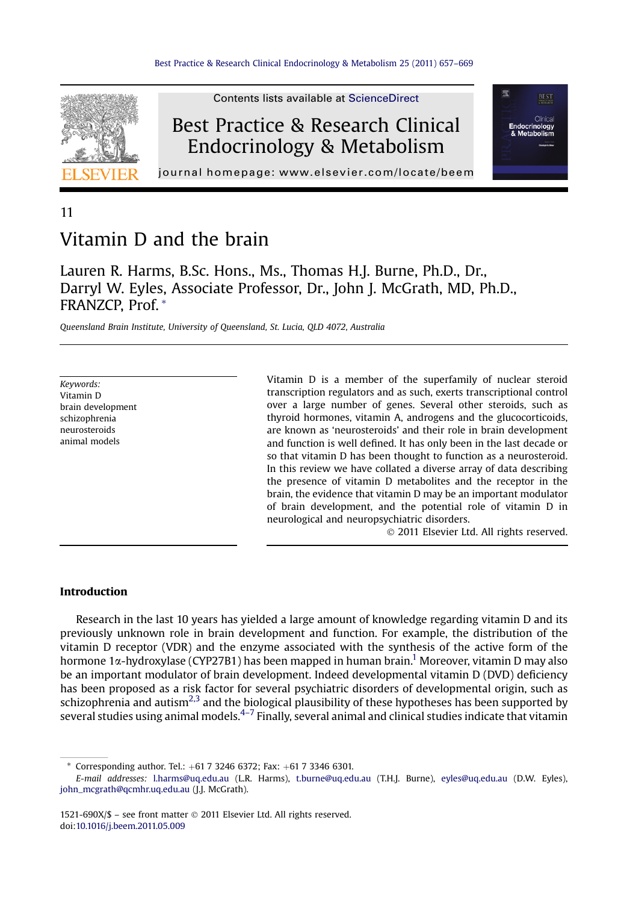

Best Practice & Research Clinical Endocrinology & Metabolism

**Contents lists available at ScienceDirect** 



journal homepage: [www.elsevier.com/locate/beem](http://www.elsevier.com/locate/beem)

## 11

# Vitamin D and the brain

Lauren R. Harms, B.Sc. Hons., Ms., Thomas H.J. Burne, Ph.D., Dr., Darryl W. Eyles, Associate Professor, Dr., John J. McGrath, MD, Ph.D., FRANZCP, Prof. \*

Queensland Brain Institute, University of Queensland, St. Lucia, QLD 4072, Australia

Keywords: Vitamin D brain development schizophrenia neurosteroids animal models

Vitamin D is a member of the superfamily of nuclear steroid transcription regulators and as such, exerts transcriptional control over a large number of genes. Several other steroids, such as thyroid hormones, vitamin A, androgens and the glucocorticoids, are known as 'neurosteroids' and their role in brain development and function is well defined. It has only been in the last decade or so that vitamin D has been thought to function as a neurosteroid. In this review we have collated a diverse array of data describing the presence of vitamin D metabolites and the receptor in the brain, the evidence that vitamin D may be an important modulator of brain development, and the potential role of vitamin D in neurological and neuropsychiatric disorders.

2011 Elsevier Ltd. All rights reserved.

## Introduction

Research in the last 10 years has yielded a large amount of knowledge regarding vitamin D and its previously unknown role in brain development and function. For example, the distribution of the vitamin D receptor (VDR) and the enzyme associated with the synthesis of the active form of the hormone 1 $\alpha$ -hydroxylase (CYP27B1) has been mapped in human brain.<sup>1</sup> Moreover, vitamin D may also be an important modulator of brain development. Indeed developmental vitamin D (DVD) deficiency has been proposed as a risk factor for several psychiatric disorders of developmental origin, such as schizophrenia and autism<sup>[2,3](#page-8-0)</sup> and the biological plausibility of these hypotheses has been supported by several studies using animal models. $4-7$  $4-7$  Finally, several animal and clinical studies indicate that vitamin

\* Corresponding author. Tel.:  $+61732466372$ ; Fax:  $+61733466301$ .

E-mail addresses: [l.harms@uq.edu.au](mailto:l.harms@uq.edu.au) (L.R. Harms), [t.burne@uq.edu.au](mailto:t.burne@uq.edu.au) (T.H.J. Burne), [eyles@uq.edu.au](mailto:eyles@uq.edu.au) (D.W. Eyles), [john\\_mcgrath@qcmhr.uq.edu.au](mailto:john_mcgrath@qcmhr.uq.edu.au) (J.J. McGrath).

<sup>1521-690</sup>X/\$ – see front matter 2011 Elsevier Ltd. All rights reserved. doi[:10.1016/j.beem.2011.05.009](http://dx.doi.org/10.1016/j.beem.2011.05.009)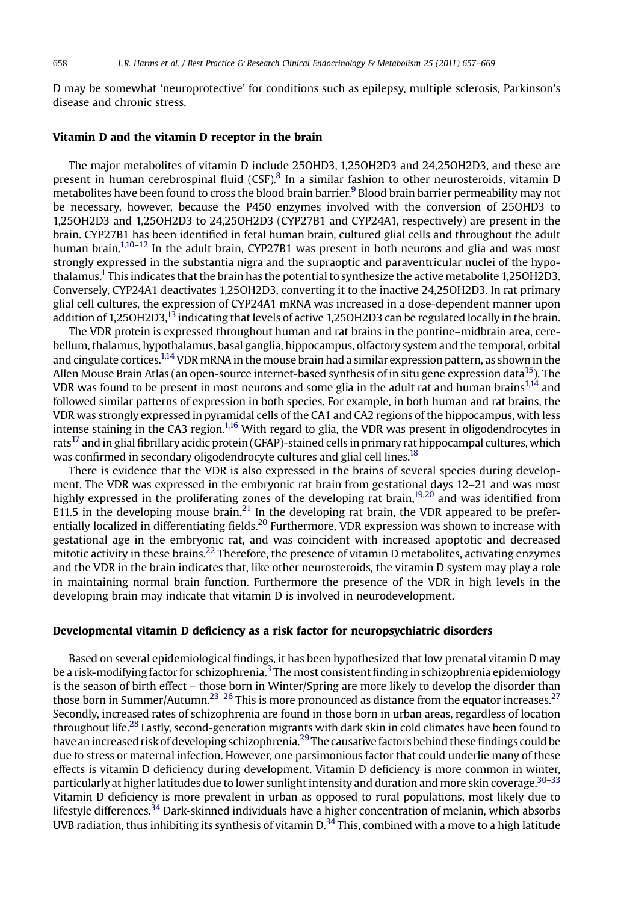D may be somewhat 'neuroprotective' for conditions such as epilepsy, multiple sclerosis, Parkinson's disease and chronic stress.

#### Vitamin D and the vitamin D receptor in the brain

The major metabolites of vitamin D include 25OHD3, 1,25OH2D3 and 24,25OH2D3, and these are present in human cerebrospinal fluid  $(CSF)$ .<sup>8</sup> In a similar fashion to other neurosteroids, vitamin D metabolites have been found to cross the blood brain barrier.<sup>[9](#page-8-0)</sup> Blood brain barrier permeability may not be necessary, however, because the P450 enzymes involved with the conversion of 25OHD3 to 1,25OH2D3 and 1,25OH2D3 to 24,25OH2D3 (CYP27B1 and CYP24A1, respectively) are present in the brain. CYP27B1 has been identified in fetal human brain, cultured glial cells and throughout the adult human brain.<sup>[1,10](#page-8-0)–12</sup> In the adult brain, CYP27B1 was present in both neurons and glia and was most strongly expressed in the substantia nigra and the supraoptic and paraventricular nuclei of the hypo-thalamus.<sup>[1](#page-8-0)</sup> This indicates that the brain has the potential to synthesize the active metabolite 1.25OH2D3. Conversely, CYP24A1 deactivates 1,25OH2D3, converting it to the inactive 24,25OH2D3. In rat primary glial cell cultures, the expression of CYP24A1 mRNA was increased in a dose-dependent manner upon addition of 1,25OH2D3,<sup>13</sup> indicating that levels of active 1,25OH2D3 can be regulated locally in the brain.

The VDR protein is expressed throughout human and rat brains in the pontine–midbrain area, cerebellum, thalamus, hypothalamus, basal ganglia, hippocampus, olfactory system and the temporal, orbital and cingulate cortices.<sup>1,14</sup> VDR mRNA in the mouse brain had a similar expression pattern, as shown in the Allen Mouse Brain Atlas (an open-source internet-based synthesis of in situ gene expression data<sup>[15](#page-8-0)</sup>). The VDR was found to be present in most neurons and some glia in the adult rat and human brains<sup>1,14</sup> and followed similar patterns of expression in both species. For example, in both human and rat brains, the VDR was strongly expressed in pyramidal cells of the CA1 and CA2 regions of the hippocampus, with less intense staining in the CA3 region.<sup>1,16</sup> With regard to glia, the VDR was present in oligodendrocytes in rats<sup>[17](#page-8-0)</sup> and in glial fibrillary acidic protein (GFAP)-stained cells in primary rat hippocampal cultures, which was confirmed in secondary oligodendrocyte cultures and glial cell lines.<sup>18</sup>

There is evidence that the VDR is also expressed in the brains of several species during development. The VDR was expressed in the embryonic rat brain from gestational days 12–21 and was most highly expressed in the proliferating zones of the developing rat brain,<sup>19,20</sup> and was identified from E11.5 in the developing mouse brain.<sup>[21](#page-8-0)</sup> In the developing rat brain, the VDR appeared to be preferentially localized in differentiating fields.[20](#page-8-0) Furthermore, VDR expression was shown to increase with gestational age in the embryonic rat, and was coincident with increased apoptotic and decreased mitotic activity in these brains.<sup>22</sup> Therefore, the presence of vitamin D metabolites, activating enzymes and the VDR in the brain indicates that, like other neurosteroids, the vitamin D system may play a role in maintaining normal brain function. Furthermore the presence of the VDR in high levels in the developing brain may indicate that vitamin D is involved in neurodevelopment.

## Developmental vitamin D deficiency as a risk factor for neuropsychiatric disorders

Based on several epidemiological findings, it has been hypothesized that low prenatal vitamin D may be a risk-modifying factor for schizophrenia.<sup>3</sup> The most consistent finding in schizophrenia epidemiology is the season of birth effect – those born in Winter/Spring are more likely to develop the disorder than those born in Summer/Autumn.<sup>23–26</sup> This is more pronounced as distance from the equator increases.<sup>[27](#page-9-0)</sup> Secondly, increased rates of schizophrenia are found in those born in urban areas, regardless of location throughout life.[28](#page-9-0) Lastly, second-generation migrants with dark skin in cold climates have been found to have an increased risk of developing schizophrenia.<sup>29</sup> The causative factors behind these findings could be due to stress or maternal infection. However, one parsimonious factor that could underlie many of these effects is vitamin D deficiency during development. Vitamin D deficiency is more common in winter, particularly at higher latitudes due to lower sunlight intensity and duration and more skin coverage.<sup>[30](#page-9-0)–33</sup> Vitamin D deficiency is more prevalent in urban as opposed to rural populations, most likely due to lifestyle differences.<sup>[34](#page-9-0)</sup> Dark-skinned individuals have a higher concentration of melanin, which absorbs UVB radiation, thus inhibiting its synthesis of vitamin D.<sup>[34](#page-9-0)</sup> This, combined with a move to a high latitude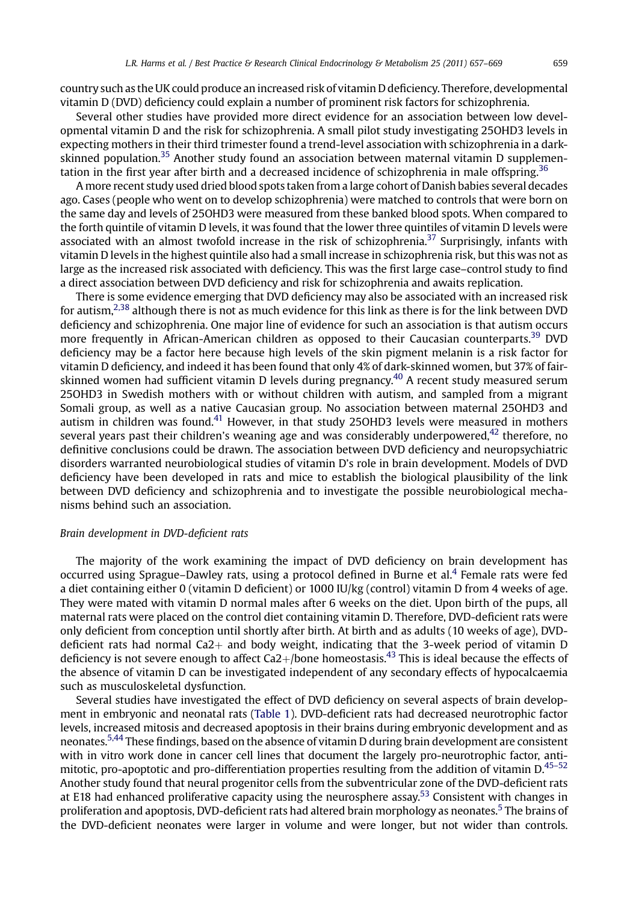country such as the UK could produce an increased risk of vitamin D deficiency. Therefore, developmental vitamin D (DVD) deficiency could explain a number of prominent risk factors for schizophrenia.

Several other studies have provided more direct evidence for an association between low developmental vitamin D and the risk for schizophrenia. A small pilot study investigating 25OHD3 levels in expecting mothers in their third trimester found a trend-level association with schizophrenia in a darkskinned population.<sup>35</sup> Another study found an association between maternal vitamin D supplemen-tation in the first year after birth and a decreased incidence of schizophrenia in male offspring.<sup>[36](#page-9-0)</sup>

A more recent study used dried blood spots taken from a large cohort of Danish babies several decades ago. Cases (people who went on to develop schizophrenia) were matched to controls that were born on the same day and levels of 25OHD3 were measured from these banked blood spots. When compared to the forth quintile of vitamin D levels, it was found that the lower three quintiles of vitamin D levels were associated with an almost twofold increase in the risk of schizophrenia.<sup>[37](#page-9-0)</sup> Surprisingly, infants with vitamin D levels in the highest quintile also had a small increase in schizophrenia risk, but this was not as large as the increased risk associated with deficiency. This was the first large case–control study to find a direct association between DVD deficiency and risk for schizophrenia and awaits replication.

There is some evidence emerging that DVD deficiency may also be associated with an increased risk for autism,<sup>[2,38](#page-8-0)</sup> although there is not as much evidence for this link as there is for the link between DVD deficiency and schizophrenia. One major line of evidence for such an association is that autism occurs more frequently in African-American children as opposed to their Caucasian counterparts.<sup>[39](#page-9-0)</sup> DVD deficiency may be a factor here because high levels of the skin pigment melanin is a risk factor for vitamin D deficiency, and indeed it has been found that only 4% of dark-skinned women, but 37% of fair-skinned women had sufficient vitamin D levels during pregnancy.<sup>[40](#page-9-0)</sup> A recent study measured serum 25OHD3 in Swedish mothers with or without children with autism, and sampled from a migrant Somali group, as well as a native Caucasian group. No association between maternal 25OHD3 and autism in children was found. $41$  However, in that study 25OHD3 levels were measured in mothers several years past their children's weaning age and was considerably underpowered,  $42$  therefore, no definitive conclusions could be drawn. The association between DVD deficiency and neuropsychiatric disorders warranted neurobiological studies of vitamin D's role in brain development. Models of DVD deficiency have been developed in rats and mice to establish the biological plausibility of the link between DVD deficiency and schizophrenia and to investigate the possible neurobiological mechanisms behind such an association.

#### Brain development in DVD-deficient rats

The majority of the work examining the impact of DVD deficiency on brain development has occurred using Sprague–Dawley rats, using a protocol defined in Burne et al.[4](#page-8-0) Female rats were fed a diet containing either 0 (vitamin D deficient) or 1000 IU/kg (control) vitamin D from 4 weeks of age. They were mated with vitamin D normal males after 6 weeks on the diet. Upon birth of the pups, all maternal rats were placed on the control diet containing vitamin D. Therefore, DVD-deficient rats were only deficient from conception until shortly after birth. At birth and as adults (10 weeks of age), DVDdeficient rats had normal  $Ca2<sub>+</sub>$  and body weight, indicating that the 3-week period of vitamin D deficiency is not severe enough to affect  $Ca2+/bone$  homeostasis.<sup>43</sup> This is ideal because the effects of the absence of vitamin D can be investigated independent of any secondary effects of hypocalcaemia such as musculoskeletal dysfunction.

Several studies have investigated the effect of DVD deficiency on several aspects of brain development in embryonic and neonatal rats ([Table 1\)](#page-3-0). DVD-deficient rats had decreased neurotrophic factor levels, increased mitosis and decreased apoptosis in their brains during embryonic development and as neonates.[5,44](#page-8-0) These findings, based on the absence of vitamin D during brain development are consistent with in vitro work done in cancer cell lines that document the largely pro-neurotrophic factor, antimitotic, pro-apoptotic and pro-differentiation properties resulting from the addition of vitamin D.<sup>45-52</sup> Another study found that neural progenitor cells from the subventricular zone of the DVD-deficient rats at E18 had enhanced proliferative capacity using the neurosphere assay.<sup>[53](#page-9-0)</sup> Consistent with changes in proliferation and apoptosis, DVD-deficient rats had altered brain morphology as neonates.<sup>[5](#page-8-0)</sup> The brains of the DVD-deficient neonates were larger in volume and were longer, but not wider than controls.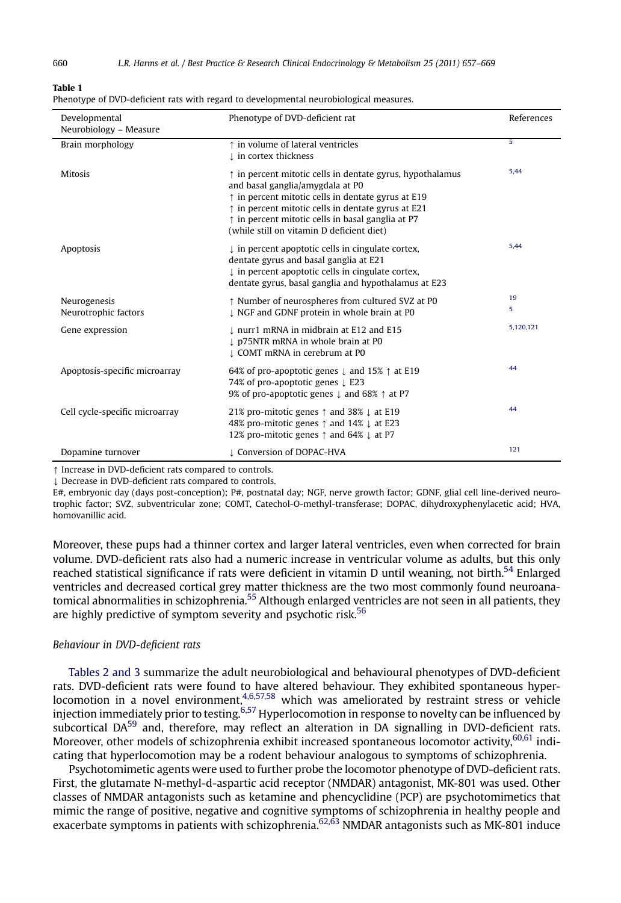#### <span id="page-3-0"></span>Table 1

|  |  | Phenotype of DVD-deficient rats with regard to developmental neurobiological measures. |
|--|--|----------------------------------------------------------------------------------------|
|  |  |                                                                                        |

| Developmental<br>Neurobiology - Measure | Phenotype of DVD-deficient rat                                                                                                                                                                                                                                                                                                                  | References |
|-----------------------------------------|-------------------------------------------------------------------------------------------------------------------------------------------------------------------------------------------------------------------------------------------------------------------------------------------------------------------------------------------------|------------|
| Brain morphology                        | t in volume of lateral ventricles<br>1 in cortex thickness                                                                                                                                                                                                                                                                                      | 5          |
| <b>Mitosis</b>                          | $\uparrow$ in percent mitotic cells in dentate gyrus, hypothalamus<br>and basal ganglia/amygdala at P0<br>$\uparrow$ in percent mitotic cells in dentate gyrus at E19<br>$\uparrow$ in percent mitotic cells in dentate gyrus at E21<br>$\uparrow$ in percent mitotic cells in basal ganglia at P7<br>(while still on vitamin D deficient diet) | 5,44       |
| Apoptosis                               | $\downarrow$ in percent apoptotic cells in cingulate cortex,<br>dentate gyrus and basal ganglia at E21<br>$\downarrow$ in percent apoptotic cells in cingulate cortex,<br>dentate gyrus, basal ganglia and hypothalamus at E23                                                                                                                  | 5,44       |
| Neurogenesis<br>Neurotrophic factors    | ↑ Number of neurospheres from cultured SVZ at P0<br>I NGF and GDNF protein in whole brain at P0                                                                                                                                                                                                                                                 | 19<br>5    |
| Gene expression                         | ↓ nurr1 mRNA in midbrain at E12 and E15<br>p75NTR mRNA in whole brain at P0<br>L COMT mRNA in cerebrum at P0                                                                                                                                                                                                                                    | 5,120,121  |
| Apoptosis-specific microarray           | 64% of pro-apoptotic genes $\downarrow$ and 15% $\uparrow$ at E19<br>74% of pro-apoptotic genes $\downarrow$ E23<br>9% of pro-apoptotic genes $\downarrow$ and 68% $\uparrow$ at P7                                                                                                                                                             | 44         |
| Cell cycle-specific microarray          | 21% pro-mitotic genes $\uparrow$ and 38% $\downarrow$ at E19<br>48% pro-mitotic genes ↑ and 14% ↓ at E23<br>12% pro-mitotic genes $\uparrow$ and 64% $\downarrow$ at P7                                                                                                                                                                         | 44         |
| Dopamine turnover                       | L Conversion of DOPAC-HVA                                                                                                                                                                                                                                                                                                                       | 121        |

 $\uparrow$  Increase in DVD-deficient rats compared to controls.

 $\downarrow$  Decrease in DVD-deficient rats compared to controls.

E#, embryonic day (days post-conception); P#, postnatal day; NGF, nerve growth factor; GDNF, glial cell line-derived neurotrophic factor; SVZ, subventricular zone; COMT, Catechol-O-methyl-transferase; DOPAC, dihydroxyphenylacetic acid; HVA, homovanillic acid.

Moreover, these pups had a thinner cortex and larger lateral ventricles, even when corrected for brain volume. DVD-deficient rats also had a numeric increase in ventricular volume as adults, but this only reached statistical significance if rats were deficient in vitamin D until weaning, not birth.<sup>[54](#page-9-0)</sup> Enlarged ventricles and decreased cortical grey matter thickness are the two most commonly found neuroanatomical abnormalities in schizophrenia.<sup>55</sup> Although enlarged ventricles are not seen in all patients, they are highly predictive of symptom severity and psychotic risk.<sup>[56](#page-10-0)</sup>

#### Behaviour in DVD-deficient rats

[Tables 2 and 3](#page-4-0) summarize the adult neurobiological and behavioural phenotypes of DVD-deficient rats. DVD-deficient rats were found to have altered behaviour. They exhibited spontaneous hyper-locomotion in a novel environment,<sup>[4,6,57,58](#page-8-0)</sup> which was ameliorated by restraint stress or vehicle injection immediately prior to testing.<sup>6,57</sup> Hyperlocomotion in response to novelty can be influenced by subcortical DA<sup>[59](#page-10-0)</sup> and, therefore, may reflect an alteration in DA signalling in DVD-deficient rats. Moreover, other models of schizophrenia exhibit increased spontaneous locomotor activity,<sup>[60,61](#page-10-0)</sup> indicating that hyperlocomotion may be a rodent behaviour analogous to symptoms of schizophrenia.

Psychotomimetic agents were used to further probe the locomotor phenotype of DVD-deficient rats. First, the glutamate N-methyl-d-aspartic acid receptor (NMDAR) antagonist, MK-801 was used. Other classes of NMDAR antagonists such as ketamine and phencyclidine (PCP) are psychotomimetics that mimic the range of positive, negative and cognitive symptoms of schizophrenia in healthy people and exacerbate symptoms in patients with schizophrenia.<sup>[62,63](#page-10-0)</sup> NMDAR antagonists such as MK-801 induce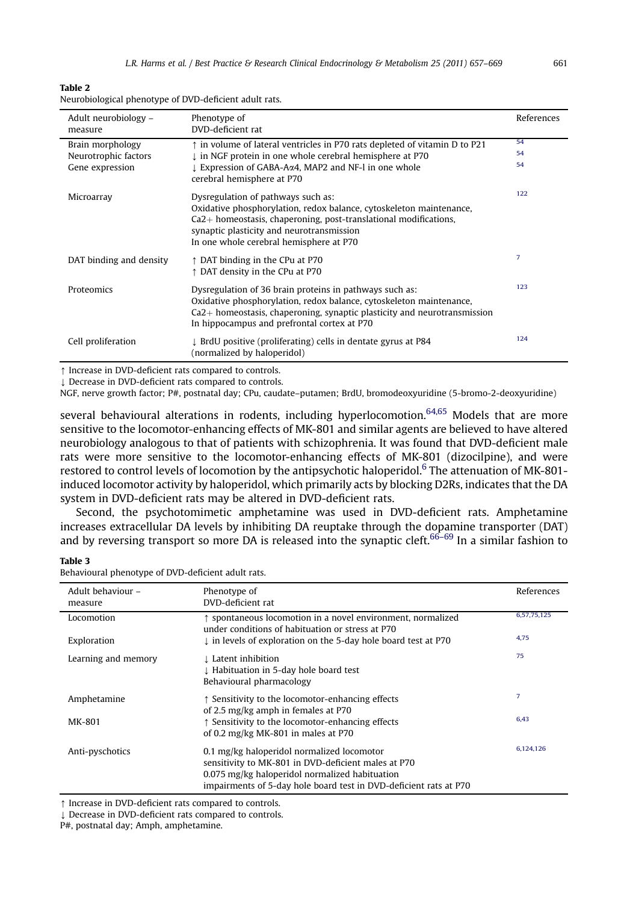<span id="page-4-0"></span>

| Table 2                                                |
|--------------------------------------------------------|
| Neurobiological phenotype of DVD-deficient adult rats. |

| Adult neurobiology -<br>measure         | Phenotype of<br>DVD-deficient rat                                                                                                                                                                                                                                       | References |
|-----------------------------------------|-------------------------------------------------------------------------------------------------------------------------------------------------------------------------------------------------------------------------------------------------------------------------|------------|
| Brain morphology                        | $\uparrow$ in volume of lateral ventricles in P70 rats depleted of vitamin D to P21                                                                                                                                                                                     | 54         |
| Neurotrophic factors<br>Gene expression | ↓ in NGF protein in one whole cerebral hemisphere at P70<br>↓ Expression of GABA-Aα4, MAP2 and NF-1 in one whole                                                                                                                                                        | 54<br>54   |
|                                         | cerebral hemisphere at P70                                                                                                                                                                                                                                              |            |
| Microarray                              | Dysregulation of pathways such as:<br>Oxidative phosphorylation, redox balance, cytoskeleton maintenance,<br>$Ca2+$ homeostasis, chaperoning, post-translational modifications,<br>synaptic plasticity and neurotransmission<br>In one whole cerebral hemisphere at P70 | 122        |
| DAT binding and density                 | $\uparrow$ DAT binding in the CPu at P70<br>↑ DAT density in the CPu at P70                                                                                                                                                                                             | 7          |
| Proteomics                              | Dysregulation of 36 brain proteins in pathways such as:<br>Oxidative phosphorylation, redox balance, cytoskeleton maintenance,<br>$Ca2+$ homeostasis, chaperoning, synaptic plasticity and neurotransmission<br>In hippocampus and prefrontal cortex at P70             | 123        |
| Cell proliferation                      | I BrdU positive (proliferating) cells in dentate gyrus at P84<br>(normalized by haloperidol)                                                                                                                                                                            | 124        |

 $\uparrow$  Increase in DVD-deficient rats compared to controls.

 $\downarrow$  Decrease in DVD-deficient rats compared to controls.

NGF, nerve growth factor; P#, postnatal day; CPu, caudate–putamen; BrdU, bromodeoxyuridine (5-bromo-2-deoxyuridine)

several behavioural alterations in rodents, including hyperlocomotion.<sup>[64,65](#page-10-0)</sup> Models that are more sensitive to the locomotor-enhancing effects of MK-801 and similar agents are believed to have altered neurobiology analogous to that of patients with schizophrenia. It was found that DVD-deficient male rats were more sensitive to the locomotor-enhancing effects of MK-801 (dizocilpine), and were restored to control levels of locomotion by the antipsychotic haloperidol.<sup>6</sup> The attenuation of MK-801induced locomotor activity by haloperidol, which primarily acts by blocking D2Rs, indicates that the DA system in DVD-deficient rats may be altered in DVD-deficient rats.

Second, the psychotomimetic amphetamine was used in DVD-deficient rats. Amphetamine increases extracellular DA levels by inhibiting DA reuptake through the dopamine transporter (DAT) and by reversing transport so more DA is released into the synaptic cleft.<sup>[66](#page-10-0)–69</sup> In a similar fashion to

## Table 3

| Behavioural phenotype of DVD-deficient adult rats. |
|----------------------------------------------------|
|----------------------------------------------------|

| Adult behaviour -<br>measure | Phenotype of<br>DVD-deficient rat                                                                                                                                                                                        | References  |
|------------------------------|--------------------------------------------------------------------------------------------------------------------------------------------------------------------------------------------------------------------------|-------------|
| Locomotion                   | ↑ spontaneous locomotion in a novel environment, normalized<br>under conditions of habituation or stress at P70                                                                                                          | 6,57,75,125 |
| Exploration                  | $\downarrow$ in levels of exploration on the 5-day hole board test at P70                                                                                                                                                | 4.75        |
| Learning and memory          | ↓ Latent inhibition<br>I Habituation in 5-day hole board test<br>Behavioural pharmacology                                                                                                                                | 75          |
| Amphetamine                  | ↑ Sensitivity to the locomotor-enhancing effects<br>of 2.5 mg/kg amph in females at P70                                                                                                                                  | 7           |
| MK-801                       | ↑ Sensitivity to the locomotor-enhancing effects<br>of 0.2 mg/kg MK-801 in males at P70                                                                                                                                  | 6.43        |
| Anti-pyschotics              | 0.1 mg/kg haloperidol normalized locomotor<br>sensitivity to MK-801 in DVD-deficient males at P70<br>0.075 mg/kg haloperidol normalized habituation<br>impairments of 5-day hole board test in DVD-deficient rats at P70 | 6,124,126   |

 $\uparrow$  Increase in DVD-deficient rats compared to controls.

 $\downarrow$  Decrease in DVD-deficient rats compared to controls.

P#, postnatal day; Amph, amphetamine.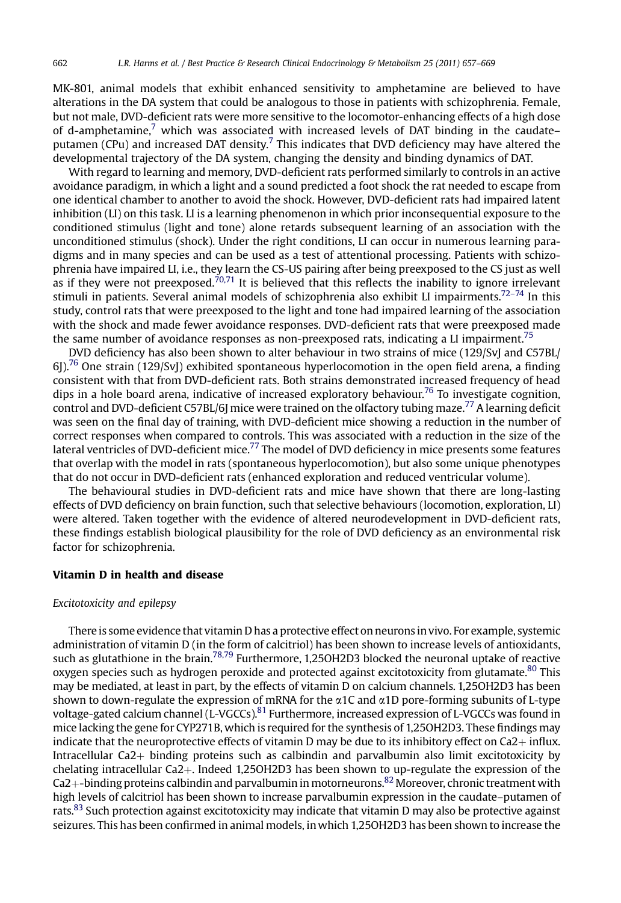MK-801, animal models that exhibit enhanced sensitivity to amphetamine are believed to have alterations in the DA system that could be analogous to those in patients with schizophrenia. Female, but not male, DVD-deficient rats were more sensitive to the locomotor-enhancing effects of a high dose of d-amphetamine,<sup>[7](#page-8-0)</sup> which was associated with increased levels of DAT binding in the caudate– putamen (CPu) and increased DAT density.<sup>[7](#page-8-0)</sup> This indicates that DVD deficiency may have altered the developmental trajectory of the DA system, changing the density and binding dynamics of DAT.

With regard to learning and memory, DVD-deficient rats performed similarly to controls in an active avoidance paradigm, in which a light and a sound predicted a foot shock the rat needed to escape from one identical chamber to another to avoid the shock. However, DVD-deficient rats had impaired latent inhibition (LI) on this task. LI is a learning phenomenon in which prior inconsequential exposure to the conditioned stimulus (light and tone) alone retards subsequent learning of an association with the unconditioned stimulus (shock). Under the right conditions, LI can occur in numerous learning paradigms and in many species and can be used as a test of attentional processing. Patients with schizophrenia have impaired LI, i.e., they learn the CS-US pairing after being preexposed to the CS just as well as if they were not preexposed.<sup>[70,71](#page-10-0)</sup> It is believed that this reflects the inability to ignore irrelevant stimuli in patients. Several animal models of schizophrenia also exhibit LI impairments.<sup>[72](#page-10-0)–74</sup> In this study, control rats that were preexposed to the light and tone had impaired learning of the association with the shock and made fewer avoidance responses. DVD-deficient rats that were preexposed made the same number of avoidance responses as non-preexposed rats, indicating a LI impairment.<sup>[75](#page-10-0)</sup>

DVD deficiency has also been shown to alter behaviour in two strains of mice (129/SvJ and C57BL/  $6$ ]).<sup>76</sup> One strain (129/SvJ) exhibited spontaneous hyperlocomotion in the open field arena, a finding consistent with that from DVD-deficient rats. Both strains demonstrated increased frequency of head dips in a hole board arena, indicative of increased exploratory behaviour.<sup>[76](#page-10-0)</sup> To investigate cognition, control and DVD-deficient C57BL/6J mice were trained on the olfactory tubing maze[.77](#page-10-0) A learning deficit was seen on the final day of training, with DVD-deficient mice showing a reduction in the number of correct responses when compared to controls. This was associated with a reduction in the size of the lateral ventricles of DVD-deficient mice.<sup>77</sup> The model of DVD deficiency in mice presents some features that overlap with the model in rats (spontaneous hyperlocomotion), but also some unique phenotypes that do not occur in DVD-deficient rats (enhanced exploration and reduced ventricular volume).

The behavioural studies in DVD-deficient rats and mice have shown that there are long-lasting effects of DVD deficiency on brain function, such that selective behaviours (locomotion, exploration, LI) were altered. Taken together with the evidence of altered neurodevelopment in DVD-deficient rats, these findings establish biological plausibility for the role of DVD deficiency as an environmental risk factor for schizophrenia.

## Vitamin D in health and disease

## Excitotoxicity and epilepsy

There is some evidence that vitamin D has a protective effect on neurons in vivo. For example, systemic administration of vitamin D (in the form of calcitriol) has been shown to increase levels of antioxidants, such as glutathione in the brain.<sup>78,79</sup> Furthermore, 1,25OH2D3 blocked the neuronal uptake of reactive oxygen species such as hydrogen peroxide and protected against excitotoxicity from glutamate.<sup>80</sup> This may be mediated, at least in part, by the effects of vitamin D on calcium channels. 1,25OH2D3 has been shown to down-regulate the expression of mRNA for the  $\alpha$ 1C and  $\alpha$ 1D pore-forming subunits of L-type voltage-gated calcium channel (L-VGCCs).<sup>[81](#page-10-0)</sup> Furthermore, increased expression of L-VGCCs was found in mice lacking the gene for CYP271B, which is required for the synthesis of 1,25OH2D3. These findings may indicate that the neuroprotective effects of vitamin D may be due to its inhibitory effect on  $Ca2+$  influx. Intracellular  $Ca2+$  binding proteins such as calbindin and parvalbumin also limit excitotoxicity by chelating intracellular Ca2 $+$ . Indeed 1,25OH2D3 has been shown to up-regulate the expression of the  $Ca2+$ -binding proteins calbindin and parvalbumin in motorneurons.<sup>[82](#page-10-0)</sup> Moreover, chronic treatment with high levels of calcitriol has been shown to increase parvalbumin expression in the caudate–putamen of rats.<sup>[83](#page-10-0)</sup> Such protection against excitotoxicity may indicate that vitamin D may also be protective against seizures. This has been confirmed in animal models, in which 1,25OH2D3 has been shown to increase the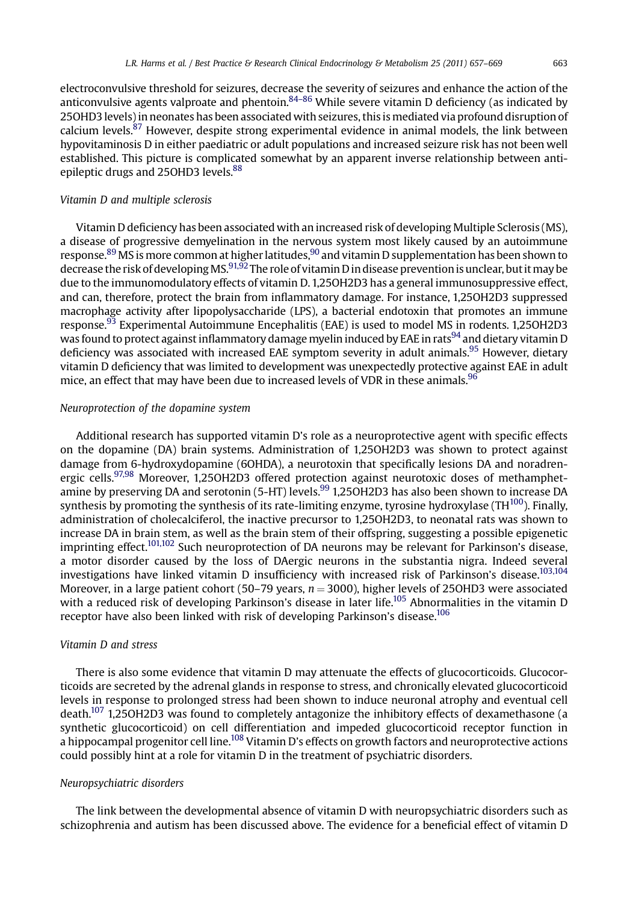electroconvulsive threshold for seizures, decrease the severity of seizures and enhance the action of the anticonvulsive agents valproate and phentoin.<sup>[84](#page-10-0)–86</sup> While severe vitamin D deficiency (as indicated by 25OHD3 levels) in neonates has been associated with seizures, this is mediated via profound disruption of calcium levels.<sup>87</sup> However, despite strong experimental evidence in animal models, the link between hypovitaminosis D in either paediatric or adult populations and increased seizure risk has not been well established. This picture is complicated somewhat by an apparent inverse relationship between anti-epileptic drugs and 25OHD3 levels.<sup>[88](#page-10-0)</sup>

## Vitamin D and multiple sclerosis

Vitamin D deficiency has been associated with an increased risk of developing Multiple Sclerosis (MS), a disease of progressive demyelination in the nervous system most likely caused by an autoimmune response.[89](#page-11-0) MS is more common at higher latitudes,[90](#page-11-0) and vitamin D supplementation has been shown to decrease the risk of developing MS.<sup>91,92</sup> The role of vitamin D in disease prevention is unclear, but it may be due to the immunomodulatory effects of vitamin D. 1,25OH2D3 has a general immunosuppressive effect, and can, therefore, protect the brain from inflammatory damage. For instance, 1,25OH2D3 suppressed macrophage activity after lipopolysaccharide (LPS), a bacterial endotoxin that promotes an immune response.[93](#page-11-0) Experimental Autoimmune Encephalitis (EAE) is used to model MS in rodents. 1,25OH2D3 was found to protect against inflammatory damage myelin induced by EAE in rats<sup>94</sup> and dietary vitamin D deficiency was associated with increased EAE symptom severity in adult animals.<sup>[95](#page-11-0)</sup> However, dietary vitamin D deficiency that was limited to development was unexpectedly protective against EAE in adult mice, an effect that may have been due to increased levels of VDR in these animals.<sup>[96](#page-11-0)</sup>

#### Neuroprotection of the dopamine system

Additional research has supported vitamin D's role as a neuroprotective agent with specific effects on the dopamine (DA) brain systems. Administration of 1,25OH2D3 was shown to protect against damage from 6-hydroxydopamine (6OHDA), a neurotoxin that specifically lesions DA and noradren-ergic cells.<sup>[97,98](#page-11-0)</sup> Moreover, 1,25OH2D3 offered protection against neurotoxic doses of methamphetamine by preserving DA and serotonin (5-HT) levels.<sup>99</sup> 1,25OH2D3 has also been shown to increase DA synthesis by promoting the synthesis of its rate-limiting enzyme, tyrosine hydroxylase (TH $^{100}$ ). Finally, administration of cholecalciferol, the inactive precursor to 1,25OH2D3, to neonatal rats was shown to increase DA in brain stem, as well as the brain stem of their offspring, suggesting a possible epigenetic imprinting effect.<sup>101,102</sup> Such neuroprotection of DA neurons may be relevant for Parkinson's disease, a motor disorder caused by the loss of DAergic neurons in the substantia nigra. Indeed several investigations have linked vitamin D insufficiency with increased risk of Parkinson's disease.[103,104](#page-11-0) Moreover, in a large patient cohort (50–79 years,  $n = 3000$ ), higher levels of 25OHD3 were associated with a reduced risk of developing Parkinson's disease in later life.<sup>[105](#page-11-0)</sup> Abnormalities in the vitamin D receptor have also been linked with risk of developing Parkinson's disease.<sup>106</sup>

#### Vitamin D and stress

There is also some evidence that vitamin D may attenuate the effects of glucocorticoids. Glucocorticoids are secreted by the adrenal glands in response to stress, and chronically elevated glucocorticoid levels in response to prolonged stress had been shown to induce neuronal atrophy and eventual cell death.<sup>[107](#page-11-0)</sup> 1,25OH2D3 was found to completely antagonize the inhibitory effects of dexamethasone (a synthetic glucocorticoid) on cell differentiation and impeded glucocorticoid receptor function in a hippocampal progenitor cell line.<sup>108</sup> Vitamin D's effects on growth factors and neuroprotective actions could possibly hint at a role for vitamin D in the treatment of psychiatric disorders.

#### Neuropsychiatric disorders

The link between the developmental absence of vitamin D with neuropsychiatric disorders such as schizophrenia and autism has been discussed above. The evidence for a beneficial effect of vitamin D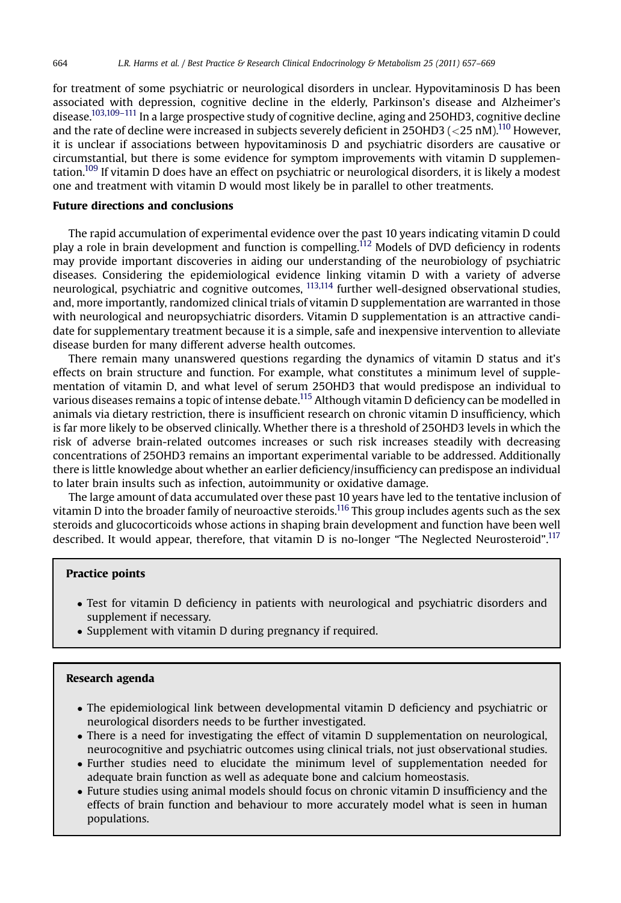for treatment of some psychiatric or neurological disorders in unclear. Hypovitaminosis D has been associated with depression, cognitive decline in the elderly, Parkinson's disease and Alzheimer's disease.<sup>103,109–111</sup> In a large prospective study of cognitive decline, aging and 25OHD3, cognitive decline and the rate of decline were increased in subjects severely deficient in 25OHD3 ( $\langle$ 25 nM).<sup>[110](#page-11-0)</sup> However, it is unclear if associations between hypovitaminosis D and psychiatric disorders are causative or circumstantial, but there is some evidence for symptom improvements with vitamin D supplementation[.109](#page-11-0) If vitamin D does have an effect on psychiatric or neurological disorders, it is likely a modest one and treatment with vitamin D would most likely be in parallel to other treatments.

## Future directions and conclusions

The rapid accumulation of experimental evidence over the past 10 years indicating vitamin D could play a role in brain development and function is compelling.[112](#page-11-0) Models of DVD deficiency in rodents may provide important discoveries in aiding our understanding of the neurobiology of psychiatric diseases. Considering the epidemiological evidence linking vitamin D with a variety of adverse neurological, psychiatric and cognitive outcomes, [113,114](#page-11-0) further well-designed observational studies, and, more importantly, randomized clinical trials of vitamin D supplementation are warranted in those with neurological and neuropsychiatric disorders. Vitamin D supplementation is an attractive candidate for supplementary treatment because it is a simple, safe and inexpensive intervention to alleviate disease burden for many different adverse health outcomes.

There remain many unanswered questions regarding the dynamics of vitamin D status and it's effects on brain structure and function. For example, what constitutes a minimum level of supplementation of vitamin D, and what level of serum 25OHD3 that would predispose an individual to various diseases remains a topic of intense debate[.115](#page-11-0) Although vitamin D deficiency can be modelled in animals via dietary restriction, there is insufficient research on chronic vitamin D insufficiency, which is far more likely to be observed clinically. Whether there is a threshold of 25OHD3 levels in which the risk of adverse brain-related outcomes increases or such risk increases steadily with decreasing concentrations of 25OHD3 remains an important experimental variable to be addressed. Additionally there is little knowledge about whether an earlier deficiency/insufficiency can predispose an individual to later brain insults such as infection, autoimmunity or oxidative damage.

The large amount of data accumulated over these past 10 years have led to the tentative inclusion of vitamin D into the broader family of neuroactive steroids.[116](#page-11-0) This group includes agents such as the sex steroids and glucocorticoids whose actions in shaping brain development and function have been well described. It would appear, therefore, that vitamin D is no-longer "The Neglected Neurosteroid".<sup>[117](#page-11-0)</sup>

## Practice points

- Test for vitamin D deficiency in patients with neurological and psychiatric disorders and supplement if necessary.
- Supplement with vitamin D during pregnancy if required.

## Research agenda

- The epidemiological link between developmental vitamin D deficiency and psychiatric or neurological disorders needs to be further investigated.
- There is a need for investigating the effect of vitamin D supplementation on neurological, neurocognitive and psychiatric outcomes using clinical trials, not just observational studies.
- Further studies need to elucidate the minimum level of supplementation needed for adequate brain function as well as adequate bone and calcium homeostasis.
- Future studies using animal models should focus on chronic vitamin D insufficiency and the effects of brain function and behaviour to more accurately model what is seen in human populations.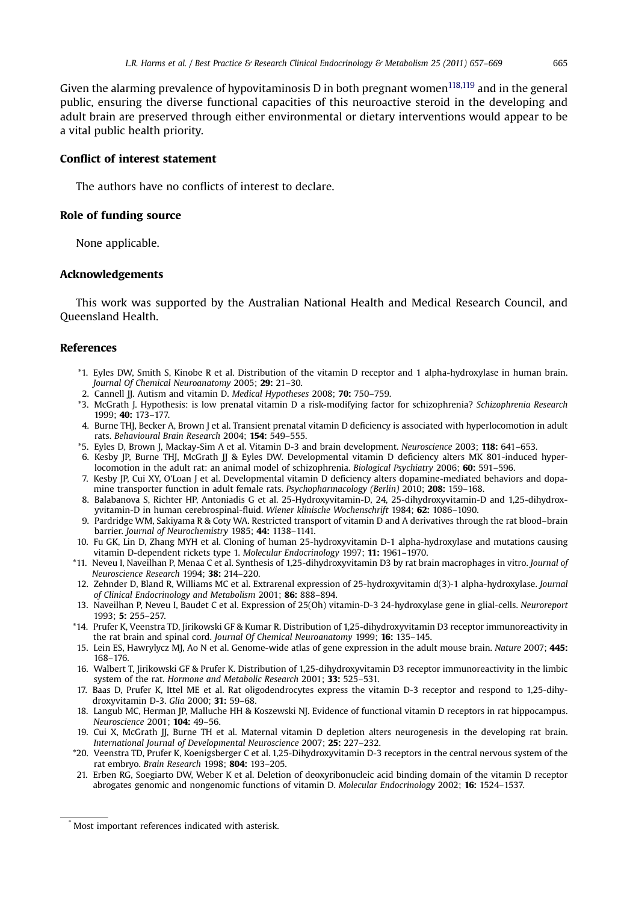<span id="page-8-0"></span>Given the alarming prevalence of hypovitaminosis D in both pregnant women<sup>[118,119](#page-11-0)</sup> and in the general public, ensuring the diverse functional capacities of this neuroactive steroid in the developing and adult brain are preserved through either environmental or dietary interventions would appear to be a vital public health priority.

## Conflict of interest statement

The authors have no conflicts of interest to declare.

## Role of funding source

None applicable.

## Acknowledgements

This work was supported by the Australian National Health and Medical Research Council, and Queensland Health.

## References

- \*1. Eyles DW, Smith S, Kinobe R et al. Distribution of the vitamin D receptor and 1 alpha-hydroxylase in human brain. Journal Of Chemical Neuroanatomy 2005; 29: 21–30.
- 2. Cannell JJ. Autism and vitamin D. Medical Hypotheses 2008; 70: 750-759.
- \*3. McGrath J. Hypothesis: is low prenatal vitamin D a risk-modifying factor for schizophrenia? Schizophrenia Research 1999; 40: 173–177.
- 4. Burne THJ, Becker A, Brown J et al. Transient prenatal vitamin D deficiency is associated with hyperlocomotion in adult rats. Behavioural Brain Research 2004; 154: 549–555.
- \*5. Eyles D, Brown J, Mackay-Sim A et al. Vitamin D-3 and brain development. Neuroscience 2003; 118: 641–653.
- 6. Kesby JP, Burne THJ, McGrath JJ & Eyles DW. Developmental vitamin D deficiency alters MK 801-induced hyperlocomotion in the adult rat: an animal model of schizophrenia. Biological Psychiatry 2006; **60:** 591-596.
- 7. Kesby JP, Cui XY, O'Loan J et al. Developmental vitamin D deficiency alters dopamine-mediated behaviors and dopamine transporter function in adult female rats. Psychopharmacology (Berlin) 2010; 208: 159-168.
- 8. Balabanova S, Richter HP, Antoniadis G et al. 25-Hydroxyvitamin-D, 24, 25-dihydroxyvitamin-D and 1,25-dihydroxyvitamin-D in human cerebrospinal-fluid. Wiener klinische Wochenschrift 1984; 62: 1086–1090.
- 9. Pardridge WM, Sakiyama R & Coty WA. Restricted transport of vitamin D and A derivatives through the rat blood–brain barrier. Journal of Neurochemistry 1985; 44: 1138-1141.
- 10. Fu GK, Lin D, Zhang MYH et al. Cloning of human 25-hydroxyvitamin D-1 alpha-hydroxylase and mutations causing vitamin D-dependent rickets type 1. Molecular Endocrinology 1997; 11: 1961–1970.
- \*11. Neveu I, Naveilhan P, Menaa C et al. Synthesis of 1,25-dihydroxyvitamin D3 by rat brain macrophages in vitro. Journal of Neuroscience Research 1994; 38: 214–220.
- 12. Zehnder D, Bland R, Williams MC et al. Extrarenal expression of 25-hydroxyvitamin d(3)-1 alpha-hydroxylase. Journal of Clinical Endocrinology and Metabolism 2001; 86: 888–894.
- 13. Naveilhan P, Neveu I, Baudet C et al. Expression of 25(Oh) vitamin-D-3 24-hydroxylase gene in glial-cells. Neuroreport 1993; 5: 255–257.
- \*14. Prufer K, Veenstra TD, Jirikowski GF & Kumar R. Distribution of 1,25-dihydroxyvitamin D3 receptor immunoreactivity in the rat brain and spinal cord. Journal Of Chemical Neuroanatomy 1999; 16: 135-145.
- 15. Lein ES, Hawrylycz MJ, Ao N et al. Genome-wide atlas of gene expression in the adult mouse brain. Nature 2007; 445: 168–176.
- 16. Walbert T, Jirikowski GF & Prufer K. Distribution of 1,25-dihydroxyvitamin D3 receptor immunoreactivity in the limbic system of the rat. Hormone and Metabolic Research 2001; 33: 525-531.
- 17. Baas D, Prufer K, Ittel ME et al. Rat oligodendrocytes express the vitamin D-3 receptor and respond to 1,25-dihydroxyvitamin D-3. Glia 2000; 31: 59–68.
- 18. Langub MC, Herman JP, Malluche HH & Koszewski NJ. Evidence of functional vitamin D receptors in rat hippocampus. Neuroscience 2001; 104: 49–56.
- 19. Cui X, McGrath JJ, Burne TH et al. Maternal vitamin D depletion alters neurogenesis in the developing rat brain. International Journal of Developmental Neuroscience 2007; 25: 227–232.
- \*20. Veenstra TD, Prufer K, Koenigsberger C et al. 1,25-Dihydroxyvitamin D-3 receptors in the central nervous system of the rat embryo. Brain Research 1998; 804: 193-205.
- 21. Erben RG, Soegiarto DW, Weber K et al. Deletion of deoxyribonucleic acid binding domain of the vitamin D receptor abrogates genomic and nongenomic functions of vitamin D. Molecular Endocrinology 2002; 16: 1524–1537.

Most important references indicated with asterisk.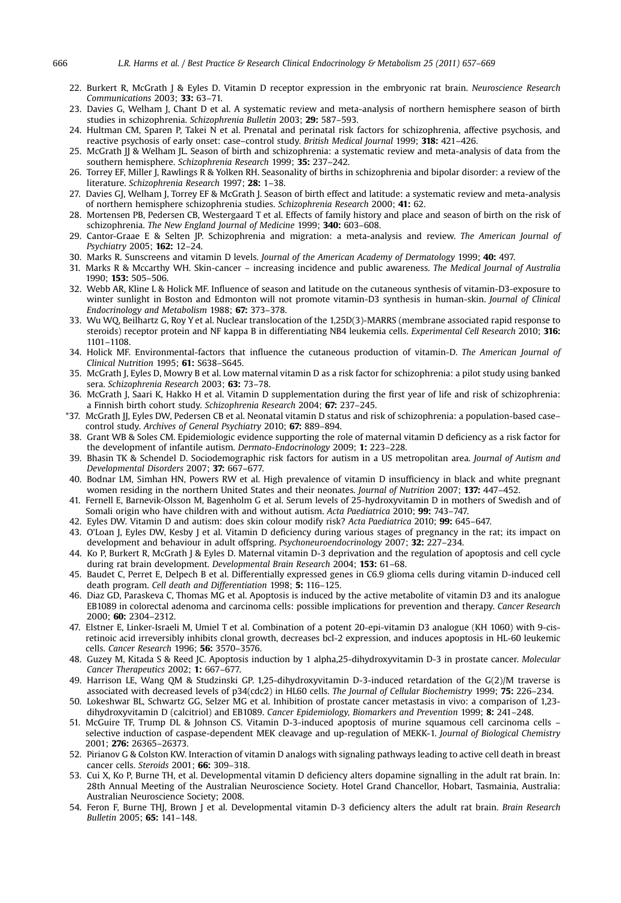- <span id="page-9-0"></span>22. Burkert R, McGrath J & Eyles D. Vitamin D receptor expression in the embryonic rat brain. Neuroscience Research Communications 2003; 33: 63–71.
- 23. Davies G, Welham J, Chant D et al. A systematic review and meta-analysis of northern hemisphere season of birth studies in schizophrenia. Schizophrenia Bulletin 2003; 29: 587–593.
- 24. Hultman CM, Sparen P, Takei N et al. Prenatal and perinatal risk factors for schizophrenia, affective psychosis, and reactive psychosis of early onset: case–control study. British Medical Journal 1999; 318: 421-426.
- 25. McGrath II & Welham IL. Season of birth and schizophrenia: a systematic review and meta-analysis of data from the southern hemisphere. Schizophrenia Research 1999; 35: 237–242.
- 26. Torrey EF, Miller J, Rawlings R & Yolken RH. Seasonality of births in schizophrenia and bipolar disorder: a review of the literature. Schizophrenia Research 1997; 28: 1-38.
- 27. Davies GJ, Welham J, Torrey EF & McGrath J. Season of birth effect and latitude: a systematic review and meta-analysis of northern hemisphere schizophrenia studies. Schizophrenia Research 2000; 41: 62.
- 28. Mortensen PB, Pedersen CB, Westergaard T et al. Effects of family history and place and season of birth on the risk of schizophrenia. The New England Journal of Medicine 1999; 340: 603–608.
- 29. Cantor-Graae E & Selten JP. Schizophrenia and migration: a meta-analysis and review. The American Journal of Psychiatry 2005; 162: 12–24.
- 30. Marks R. Sunscreens and vitamin D levels. Journal of the American Academy of Dermatology 1999; 40: 497.
- 31. Marks R & Mccarthy WH. Skin-cancer increasing incidence and public awareness. The Medical Journal of Australia 1990; 153: 505–506.
- 32. Webb AR, Kline L & Holick MF. Influence of season and latitude on the cutaneous synthesis of vitamin-D3-exposure to winter sunlight in Boston and Edmonton will not promote vitamin-D3 synthesis in human-skin. Journal of Clinical Endocrinology and Metabolism 1988; 67: 373–378.
- 33. Wu WQ, Beilhartz G, Roy Y et al. Nuclear translocation of the 1,25D(3)-MARRS (membrane associated rapid response to steroids) receptor protein and NF kappa B in differentiating NB4 leukemia cells. Experimental Cell Research 2010; 316: 1101–1108.
- 34. Holick MF. Environmental-factors that influence the cutaneous production of vitamin-D. The American Journal of Clinical Nutrition 1995; 61: S638–S645.
- 35. McGrath J, Eyles D, Mowry B et al. Low maternal vitamin D as a risk factor for schizophrenia: a pilot study using banked sera. Schizophrenia Research 2003; 63: 73–78.
- 36. McGrath J, Saari K, Hakko H et al. Vitamin D supplementation during the first year of life and risk of schizophrenia: a Finnish birth cohort study. Schizophrenia Research 2004; 67: 237–245.
- \*37. McGrath JJ, Eyles DW, Pedersen CB et al. Neonatal vitamin D status and risk of schizophrenia: a population-based case– control study. Archives of General Psychiatry 2010; 67: 889–894.
- 38. Grant WB & Soles CM. Epidemiologic evidence supporting the role of maternal vitamin D deficiency as a risk factor for the development of infantile autism. Dermato-Endocrinology 2009; 1: 223–228.
- 39. Bhasin TK & Schendel D. Sociodemographic risk factors for autism in a US metropolitan area. Journal of Autism and Developmental Disorders 2007; 37: 667–677.
- 40. Bodnar LM, Simhan HN, Powers RW et al. High prevalence of vitamin D insufficiency in black and white pregnant women residing in the northern United States and their neonates. Journal of Nutrition 2007; 137: 447-452.
- 41. Fernell E, Barnevik-Olsson M, Bagenholm G et al. Serum levels of 25-hydroxyvitamin D in mothers of Swedish and of Somali origin who have children with and without autism. Acta Paediatrica 2010; 99: 743-747.
- 42. Eyles DW. Vitamin D and autism: does skin colour modify risk? Acta Paediatrica 2010; 99: 645–647.
- 43. O'Loan J, Eyles DW, Kesby J et al. Vitamin D deficiency during various stages of pregnancy in the rat; its impact on development and behaviour in adult offspring. Psychoneuroendocrinology 2007; 32: 227–234.
- 44. Ko P, Burkert R, McGrath J & Eyles D. Maternal vitamin D-3 deprivation and the regulation of apoptosis and cell cycle during rat brain development. Developmental Brain Research 2004; 153: 61-68.
- 45. Baudet C, Perret E, Delpech B et al. Differentially expressed genes in C6.9 glioma cells during vitamin D-induced cell death program. Cell death and Differentiation 1998; 5: 116–125.
- 46. Diaz GD, Paraskeva C, Thomas MG et al. Apoptosis is induced by the active metabolite of vitamin D3 and its analogue EB1089 in colorectal adenoma and carcinoma cells: possible implications for prevention and therapy. Cancer Research 2000; 60: 2304–2312.
- 47. Elstner E, Linker-Israeli M, Umiel T et al. Combination of a potent 20-epi-vitamin D3 analogue (KH 1060) with 9-cisretinoic acid irreversibly inhibits clonal growth, decreases bcl-2 expression, and induces apoptosis in HL-60 leukemic cells. Cancer Research 1996; 56: 3570–3576.
- 48. Guzey M, Kitada S & Reed JC. Apoptosis induction by 1 alpha,25-dihydroxyvitamin D-3 in prostate cancer. Molecular Cancer Therapeutics 2002; 1: 667–677.
- 49. Harrison LE, Wang QM & Studzinski GP. 1,25-dihydroxyvitamin D-3-induced retardation of the G(2)/M traverse is associated with decreased levels of p34(cdc2) in HL60 cells. The Journal of Cellular Biochemistry 1999; 75: 226–234.
- 50. Lokeshwar BL, Schwartz GG, Selzer MG et al. Inhibition of prostate cancer metastasis in vivo: a comparison of 1,23 dihydroxyvitamin D (calcitriol) and EB1089. Cancer Epidemiology, Biomarkers and Prevention 1999; 8: 241-248.
- 51. McGuire TF, Trump DL & Johnson CS. Vitamin D-3-induced apoptosis of murine squamous cell carcinoma cells selective induction of caspase-dependent MEK cleavage and up-regulation of MEKK-1. Journal of Biological Chemistry 2001; 276: 26365–26373.
- 52. Pirianov G & Colston KW. Interaction of vitamin D analogs with signaling pathways leading to active cell death in breast cancer cells. Steroids 2001; 66: 309–318.
- 53. Cui X, Ko P, Burne TH, et al. Developmental vitamin D deficiency alters dopamine signalling in the adult rat brain. In: 28th Annual Meeting of the Australian Neuroscience Society. Hotel Grand Chancellor, Hobart, Tasmainia, Australia: Australian Neuroscience Society; 2008.
- 54. Feron F, Burne THJ, Brown J et al. Developmental vitamin D-3 deficiency alters the adult rat brain. Brain Research Bulletin 2005; 65: 141–148.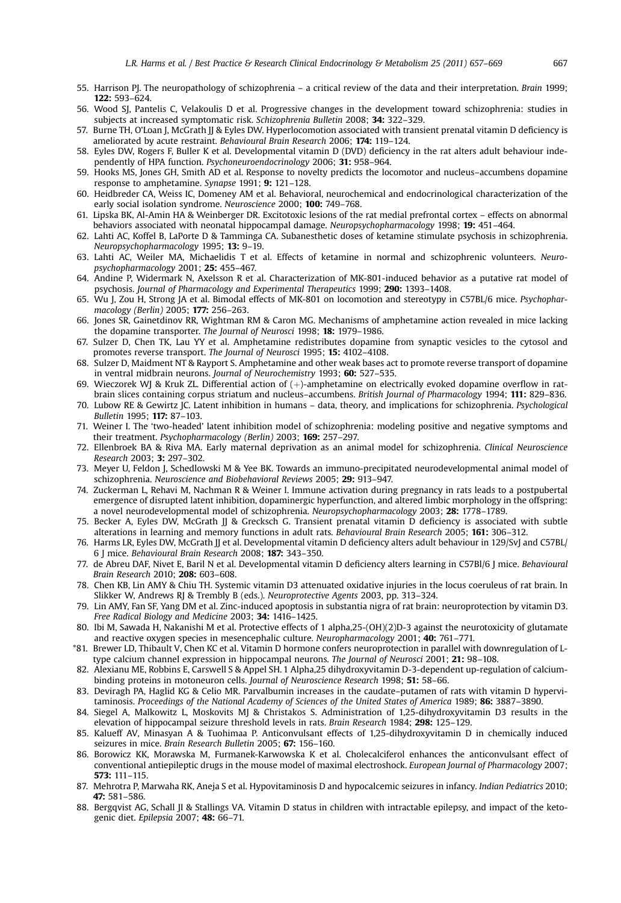- <span id="page-10-0"></span>55. Harrison PJ. The neuropathology of schizophrenia – a critical review of the data and their interpretation. Brain 1999; 122: 593–624.
- 56. Wood SJ, Pantelis C, Velakoulis D et al. Progressive changes in the development toward schizophrenia: studies in subjects at increased symptomatic risk. Schizophrenia Bulletin 2008; 34: 322–329.
- 57. Burne TH, O'Loan J, McGrath JJ & Eyles DW. Hyperlocomotion associated with transient prenatal vitamin D deficiency is ameliorated by acute restraint. Behavioural Brain Research 2006; 174: 119-124.
- 58. Eyles DW, Rogers F, Buller K et al. Developmental vitamin D (DVD) deficiency in the rat alters adult behaviour independently of HPA function. Psychoneuroendocrinology 2006; 31: 958–964.
- 59. Hooks MS, Jones GH, Smith AD et al. Response to novelty predicts the locomotor and nucleus–accumbens dopamine response to amphetamine. Synapse 1991; 9: 121-128.
- 60. Heidbreder CA, Weiss IC, Domeney AM et al. Behavioral, neurochemical and endocrinological characterization of the early social isolation syndrome. Neuroscience 2000; 100: 749–768.
- 61. Lipska BK, Al-Amin HA & Weinberger DR. Excitotoxic lesions of the rat medial prefrontal cortex effects on abnormal behaviors associated with neonatal hippocampal damage. Neuropsychopharmacology 1998; 19: 451–464.
- 62. Lahti AC, Koffel B, LaPorte D & Tamminga CA. Subanesthetic doses of ketamine stimulate psychosis in schizophrenia. Neuropsychopharmacology 1995; 13: 9–19.
- 63. Lahti AC, Weiler MA, Michaelidis T et al. Effects of ketamine in normal and schizophrenic volunteers. Neuropsychopharmacology 2001; 25: 455–467.
- 64. Andine P, Widermark N, Axelsson R et al. Characterization of MK-801-induced behavior as a putative rat model of psychosis. Journal of Pharmacology and Experimental Therapeutics 1999; 290: 1393–1408.
- 65. Wu J, Zou H, Strong JA et al. Bimodal effects of MK-801 on locomotion and stereotypy in C57BL/6 mice. Psychopharmacology (Berlin) 2005; 177: 256–263.
- 66. Jones SR, Gainetdinov RR, Wightman RM & Caron MG. Mechanisms of amphetamine action revealed in mice lacking the dopamine transporter. The Journal of Neurosci 1998; 18: 1979–1986.
- 67. Sulzer D, Chen TK, Lau YY et al. Amphetamine redistributes dopamine from synaptic vesicles to the cytosol and promotes reverse transport. The Journal of Neurosci 1995; 15: 4102-4108.
- 68. Sulzer D, Maidment NT & Rayport S. Amphetamine and other weak bases act to promote reverse transport of dopamine in ventral midbrain neurons. Journal of Neurochemistry 1993; 60: 527–535.
- 69. Wieczorek WJ & Kruk ZL. Differential action of  $(+)$ -amphetamine on electrically evoked dopamine overflow in ratbrain slices containing corpus striatum and nucleus–accumbens. British Journal of Pharmacology 1994; 111: 829–836.
- 70. Lubow RE & Gewirtz JC. Latent inhibition in humans data, theory, and implications for schizophrenia. Psychological Bulletin 1995; 117: 87–103.
- 71. Weiner I. The 'two-headed' latent inhibition model of schizophrenia: modeling positive and negative symptoms and their treatment. Psychopharmacology (Berlin) 2003; 169: 257-297.
- 72. Ellenbroek BA & Riva MA. Early maternal deprivation as an animal model for schizophrenia. Clinical Neuroscience Research 2003; 3: 297–302.
- 73. Meyer U, Feldon J, Schedlowski M & Yee BK. Towards an immuno-precipitated neurodevelopmental animal model of schizophrenia. Neuroscience and Biobehavioral Reviews 2005; 29: 913–947.
- 74. Zuckerman L, Rehavi M, Nachman R & Weiner I. Immune activation during pregnancy in rats leads to a postpubertal emergence of disrupted latent inhibition, dopaminergic hyperfunction, and altered limbic morphology in the offspring: a novel neurodevelopmental model of schizophrenia. Neuropsychopharmacology 2003; 28: 1778–1789.
- 75. Becker A, Eyles DW, McGrath JJ & Grecksch G. Transient prenatal vitamin D deficiency is associated with subtle alterations in learning and memory functions in adult rats. Behavioural Brain Research 2005; 161: 306–312.
- 76. Harms LR, Eyles DW, McGrath JJ et al. Developmental vitamin D deficiency alters adult behaviour in 129/SvJ and C57BL/ 6 J mice. Behavioural Brain Research 2008; 187: 343–350.
- 77. de Abreu DAF, Nivet E, Baril N et al. Developmental vitamin D deficiency alters learning in C57Bl/6 J mice. Behavioural Brain Research 2010; 208: 603–608.
- 78. Chen KB, Lin AMY & Chiu TH. Systemic vitamin D3 attenuated oxidative injuries in the locus coeruleus of rat brain. In Slikker W, Andrews RJ & Trembly B (eds.). Neuroprotective Agents 2003, pp. 313–324.
- 79. Lin AMY, Fan SF, Yang DM et al. Zinc-induced apoptosis in substantia nigra of rat brain: neuroprotection by vitamin D3. Free Radical Biology and Medicine 2003; 34: 1416–1425.
- 80. Ibi M, Sawada H, Nakanishi M et al. Protective effects of 1 alpha,25-(OH)(2)D-3 against the neurotoxicity of glutamate and reactive oxygen species in mesencephalic culture. Neuropharmacology 2001; 40: 761–771.
- \*81. Brewer LD, Thibault V, Chen KC et al. Vitamin D hormone confers neuroprotection in parallel with downregulation of Ltype calcium channel expression in hippocampal neurons. The Journal of Neurosci 2001; 21: 98-108.
- 82. Alexianu ME, Robbins E, Carswell S & Appel SH. 1 Alpha,25 dihydroxyvitamin D-3-dependent up-regulation of calciumbinding proteins in motoneuron cells. Journal of Neuroscience Research 1998; 51: 58–66.
- 83. Deviragh PA, Haglid KG & Celio MR. Parvalbumin increases in the caudate–putamen of rats with vitamin D hypervitaminosis. Proceedings of the National Academy of Sciences of the United States of America 1989; 86: 3887-3890.
- 84. Siegel A, Malkowitz L, Moskovits MJ & Christakos S. Administration of 1,25-dihydroxyvitamin D3 results in the elevation of hippocampal seizure threshold levels in rats. Brain Research 1984; 298: 125–129.
- 85. Kalueff AV, Minasyan A & Tuohimaa P. Anticonvulsant effects of 1,25-dihydroxyvitamin D in chemically induced seizures in mice. Brain Research Bulletin 2005; 67: 156–160.
- 86. Borowicz KK, Morawska M, Furmanek-Karwowska K et al. Cholecalciferol enhances the anticonvulsant effect of conventional antiepileptic drugs in the mouse model of maximal electroshock. European Journal of Pharmacology 2007; 573: 111–115.
- 87. Mehrotra P, Marwaha RK, Aneja S et al. Hypovitaminosis D and hypocalcemic seizures in infancy. Indian Pediatrics 2010; 47: 581–586.
- 88. Bergqvist AG, Schall JI & Stallings VA. Vitamin D status in children with intractable epilepsy, and impact of the ketogenic diet. Epilepsia 2007; 48: 66–71.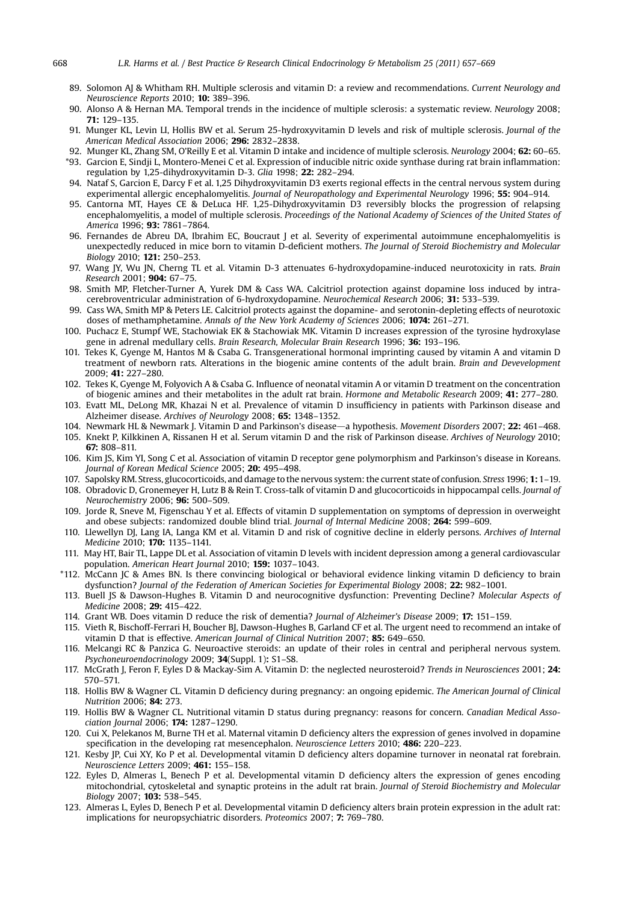- <span id="page-11-0"></span>89. Solomon AJ & Whitham RH. Multiple sclerosis and vitamin D: a review and recommendations. Current Neurology and Neuroscience Reports 2010; 10: 389–396.
- 90. Alonso A & Hernan MA. Temporal trends in the incidence of multiple sclerosis: a systematic review. Neurology 2008; 71: 129–135.
- 91. Munger KL, Levin LI, Hollis BW et al. Serum 25-hydroxyvitamin D levels and risk of multiple sclerosis. Journal of the American Medical Association 2006; 296: 2832–2838.
- 92. Munger KL, Zhang SM, O'Reilly E et al. Vitamin D intake and incidence of multiple sclerosis. Neurology 2004; 62: 60–65.
- \*93. Garcion E, Sindji L, Montero-Menei C et al. Expression of inducible nitric oxide synthase during rat brain inflammation: regulation by 1,25-dihydroxyvitamin D-3. Glia 1998; 22: 282–294.
- 94. Nataf S, Garcion E, Darcy F et al. 1,25 Dihydroxyvitamin D3 exerts regional effects in the central nervous system during experimental allergic encephalomyelitis. Journal of Neuropathology and Experimental Neurology 1996; 55: 904–914.
- 95. Cantorna MT, Hayes CE & DeLuca HF. 1,25-Dihydroxyvitamin D3 reversibly blocks the progression of relapsing encephalomyelitis, a model of multiple sclerosis. Proceedings of the National Academy of Sciences of the United States of America 1996; 93: 7861–7864.
- 96. Fernandes de Abreu DA, Ibrahim EC, Boucraut J et al. Severity of experimental autoimmune encephalomyelitis is unexpectedly reduced in mice born to vitamin D-deficient mothers. The Journal of Steroid Biochemistry and Molecular Biology 2010; 121: 250–253.
- 97. Wang JY, Wu JN, Cherng TL et al. Vitamin D-3 attenuates 6-hydroxydopamine-induced neurotoxicity in rats. Brain Research 2001; 904: 67–75.
- 98. Smith MP, Fletcher-Turner A, Yurek DM & Cass WA. Calcitriol protection against dopamine loss induced by intracerebroventricular administration of 6-hydroxydopamine. Neurochemical Research 2006; 31: 533–539.
- 99. Cass WA, Smith MP & Peters LE. Calcitriol protects against the dopamine- and serotonin-depleting effects of neurotoxic doses of methamphetamine. Annals of the New York Academy of Sciences 2006; 1074: 261–271.
- 100. Puchacz E, Stumpf WE, Stachowiak EK & Stachowiak MK. Vitamin D increases expression of the tyrosine hydroxylase gene in adrenal medullary cells. Brain Research, Molecular Brain Research 1996; 36: 193–196.
- 101. Tekes K, Gyenge M, Hantos M & Csaba G. Transgenerational hormonal imprinting caused by vitamin A and vitamin D treatment of newborn rats. Alterations in the biogenic amine contents of the adult brain. Brain and Devevelopment 2009; 41: 227–280.
- 102. Tekes K, Gyenge M, Folyovich A & Csaba G. Influence of neonatal vitamin A or vitamin D treatment on the concentration of biogenic amines and their metabolites in the adult rat brain. Hormone and Metabolic Research 2009; 41: 277–280.
- 103. Evatt ML, DeLong MR, Khazai N et al. Prevalence of vitamin D insufficiency in patients with Parkinson disease and Alzheimer disease. Archives of Neurology 2008; 65: 1348–1352.
- 104. Newmark HL & Newmark J. Vitamin D and Parkinson's disease-a hypothesis. Movement Disorders 2007; 22: 461-468.
- 105. Knekt P, Kilkkinen A, Rissanen H et al. Serum vitamin D and the risk of Parkinson disease. Archives of Neurology 2010; 67: 808–811.
- 106. Kim JS, Kim YI, Song C et al. Association of vitamin D receptor gene polymorphism and Parkinson's disease in Koreans. Journal of Korean Medical Science 2005; 20: 495–498.
- 107. Sapolsky RM. Stress, glucocorticoids, and damage to the nervous system: the current state of confusion. Stress 1996; 1: 1–19.
- 108. Obradovic D, Gronemeyer H, Lutz B & Rein T. Cross-talk of vitamin D and glucocorticoids in hippocampal cells. Journal of Neurochemistry 2006; 96: 500–509.
- 109. Jorde R, Sneve M, Figenschau Y et al. Effects of vitamin D supplementation on symptoms of depression in overweight and obese subjects: randomized double blind trial. Journal of Internal Medicine 2008; 264: 599–609.
- 110. Llewellyn DJ, Lang IA, Langa KM et al. Vitamin D and risk of cognitive decline in elderly persons. Archives of Internal Medicine 2010; 170: 1135–1141.
- 111. May HT, Bair TL, Lappe DL et al. Association of vitamin D levels with incident depression among a general cardiovascular population. American Heart Journal 2010; 159: 1037-1043.
- \*112. McCann JC & Ames BN. Is there convincing biological or behavioral evidence linking vitamin D deficiency to brain dysfunction? Journal of the Federation of American Societies for Experimental Biology 2008; 22: 982-1001.
- 113. Buell JS & Dawson-Hughes B. Vitamin D and neurocognitive dysfunction: Preventing Decline? Molecular Aspects of Medicine 2008; 29: 415–422.
- 114. Grant WB. Does vitamin D reduce the risk of dementia? Journal of Alzheimer's Disease 2009; 17: 151–159.
- 115. Vieth R, Bischoff-Ferrari H, Boucher BJ, Dawson-Hughes B, Garland CF et al. The urgent need to recommend an intake of vitamin D that is effective. American Journal of Clinical Nutrition 2007; 85: 649-650.
- 116. Melcangi RC & Panzica G. Neuroactive steroids: an update of their roles in central and peripheral nervous system. Psychoneuroendocrinology 2009; 34(Suppl. 1): S1–S8.
- 117. McGrath J, Feron F, Eyles D & Mackay-Sim A. Vitamin D: the neglected neurosteroid? Trends in Neurosciences 2001; 24: 570–571.
- 118. Hollis BW & Wagner CL. Vitamin D deficiency during pregnancy: an ongoing epidemic. The American Journal of Clinical Nutrition 2006; 84: 273.
- 119. Hollis BW & Wagner CL. Nutritional vitamin D status during pregnancy: reasons for concern. Canadian Medical Association Journal 2006; 174: 1287–1290.
- 120. Cui X, Pelekanos M, Burne TH et al. Maternal vitamin D deficiency alters the expression of genes involved in dopamine specification in the developing rat mesencephalon. Neuroscience Letters 2010; 486: 220–223.
- 121. Kesby JP, Cui XY, Ko P et al. Developmental vitamin D deficiency alters dopamine turnover in neonatal rat forebrain. Neuroscience Letters 2009; 461: 155–158.
- 122. Eyles D, Almeras L, Benech P et al. Developmental vitamin D deficiency alters the expression of genes encoding mitochondrial, cytoskeletal and synaptic proteins in the adult rat brain. Journal of Steroid Biochemistry and Molecular Biology 2007; 103: 538–545.
- 123. Almeras L, Eyles D, Benech P et al. Developmental vitamin D deficiency alters brain protein expression in the adult rat: implications for neuropsychiatric disorders. Proteomics 2007; 7: 769–780.